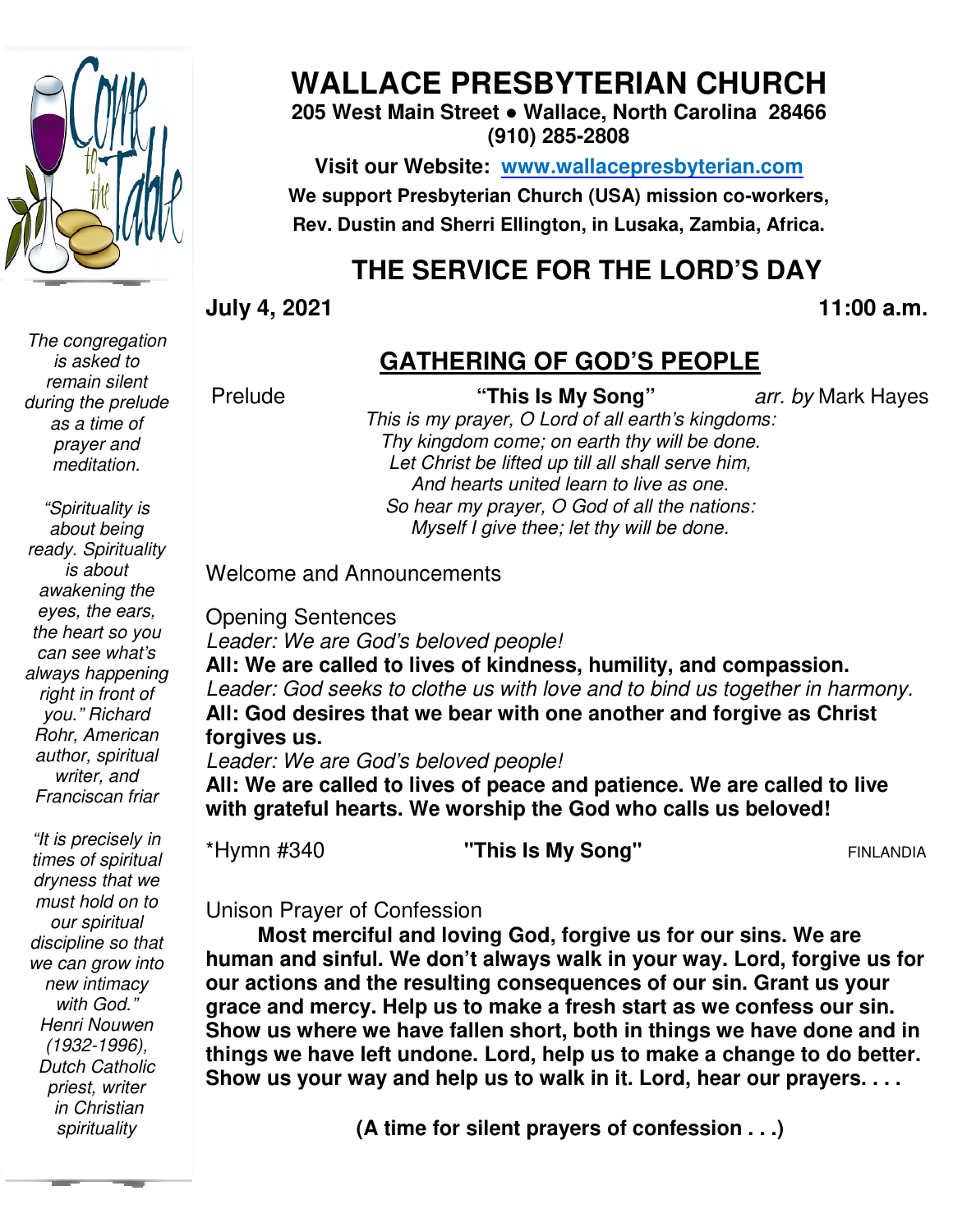

# **WALLACE PRESBYTERIAN CHURCH**

### **205 West Main Street ● Wallace, North Carolina 28466 (910) 285-2808**

**Visit our Website: www.wallacepresbyterian.com** We support Presbyterian Church (USA) mission co-workers, **Rev. Dustin and Sherri Ellington, in Lusaka, Zambia, Africa. Sherri Ellington,** 

# **THE SERVICE FOR THE LORD'S DAY**

**July 4, 2021** 

**11:00 a.m.** 

### **GATHERING OF GOD'S PEOPLE**

Prelude

 **"This Is My Song"** *arr. by* Mark Hayes

*This is my prayer, O Lord of all earth's kingdoms: Thy kingdom come; on earth thy will be done. Let Christ be lifted up till all shall serve him,* And hearts united learn to live as one. *So hear my prayer, O God of all the nations: So hear Myself I give thee; let thy will be done. on earth thy will be do<br>up till all shall serve hil<br>d learn to live as one.* 

Welcome and Announcements

Opening Sentences *Leader: We are God's beloved people! :* 

All: We are called to lives of kindness, humility, and compassion. Leader: God seeks to clothe us with love and to bind us together in harmony. All: God desires that we bear with one another and forgive as Christ **forgives us.** 

*Leader: We are God's beloved people! :* 

**All: We are called to lives of peace and patience. We are called to live**  All: We are called to lives of peace and patience. We are called t<br>with grateful hearts. We worship the God who calls us beloved!

\*Hymn #340

**"This Is My Song"** FINLANDIA

Unison Prayer of Confession Unison Prayer of

 **Most merciful and loving God, forgive us for our sins. We are human and sinful. We don't always walk in your way. Lord, forgive us for**  Most merciful and loving God, forgive us for our sins. We are<br>human and sinful. We don't always walk in your way. Lord, forgive us<br>our actions and the resulting consequences of our sin. Grant us your **grace and mercy. Help us to make a fresh start as we confess our sin. Show us where we have fallen short, both in things we have done and in things we have left undone. Lord, help us to make a change to do better. Show us your way and help us to walk in it. Lord, hear our prayers. . . .** 11:00 a.m.<br> **GATHERING OF GOD'S PEOPLE**<br>
Prists is my praye, O Lord of all earth's kingdoms:<br>
This is my praye, O Lord of all earth's kingdoms:<br>
Let And hearts united learn to live as one in.<br>
Let Christ the idited up till **paramed in the Soluty School and Soluty Schools School and Schools Schools All +340** This Is My Song"<br> **Patience 1 This Is My Song"**<br> **Patience 1 This Is My Song"**<br> **Patience 1 This Is My Song"**<br> **Patience 1 This is My So** 

**(A time for silent prayers of confession . . .)**

*The congregation is asked to remain silent during the prelude as a time of prayer and meditation.* 

*"Spirituality is about being ready. Spirituality is about awakening the eyes, the ears, the heart so you can see what's always happening right in front of you." Richard Rohr, American author, spiritual writer, and Franciscan friar*

 *Dutch Catholic "It is precisely in times of spiritual dryness that we must hold on to our spiritual discipline so that we can grow into new intimacy with God." Henri Nouwen (1932-1996), priest, writer in Christian spirituality*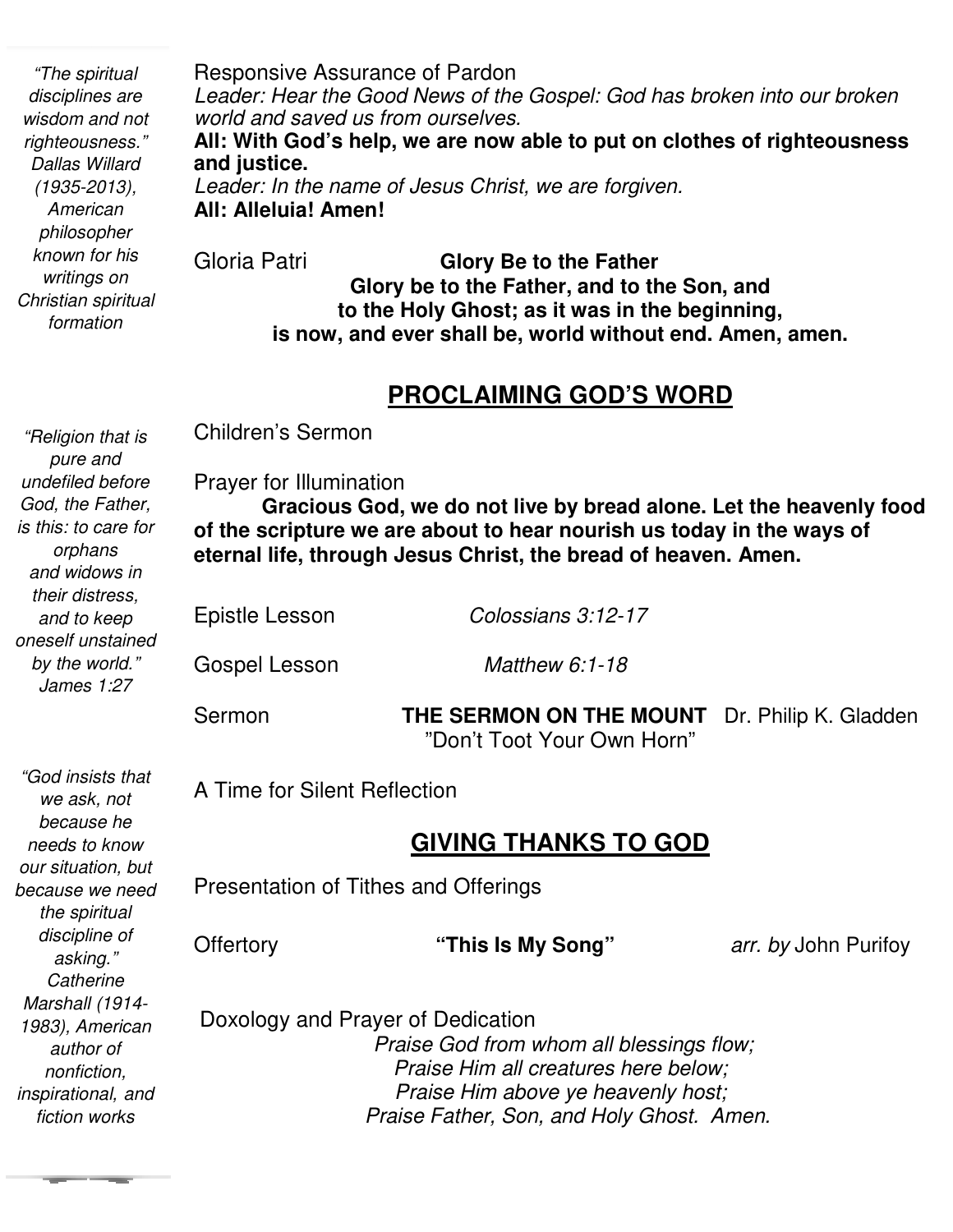*"The spiritual disciplines are wisdom and not righteousness." Dallas Willard (1935-2013), American philosopher known for his writings on Christian spiritual formation* 

Responsive Assurance of Pardon *Leader: Hear the Good News of the Gospel: God has broken into our broken world and saved us from ourselves.* **All: With God's help, we are now able to put on clothes of righteousness and justice.**  *Leader: In the name of Jesus Christ, we are forgiven.* **All: Alleluia! Amen!** Gloria Patri **Glory Be to the Father Glory be to the Father, and to the Son, and to the Holy Ghost; as it was in the beginning,** 

#### **PROCLAIMING GOD'S WORD**

**is now, and ever shall be, world without end. Amen, amen.** 

*"Religion that is pure and undefiled before God, the Father, is this: to care for orphans and widows in their distress, and to keep oneself unstained by the world." James 1:27* 

*"God insists that we ask, not because he needs to know our situation, but because we need the spiritual discipline of asking." Catherine Marshall (1914- 1983), American author of nonfiction, inspirational, and fiction works* 

Children's Sermon

**Prayer for Illumination**<br>**Cracious God**  $\overline{a}$  **Gracious God, we do not live by bread alone. Let the heavenly food of the scripture we are about to hear nourish us today in the ways of eternal life, through Jesus Christ, the bread of heaven. Amen.**

Epistle Lesson *Colossians 3:12-17*

Gospel Lesson *Matthew 6:1-18*

Sermon **THE SERMON ON THE MOUNT** Dr. Philip K. Gladden "Don't Toot Your Own Horn"

A Time for Silent Reflection

### **GIVING THANKS TO GOD**

Presentation of Tithes and Offerings

Offertory

**"This Is My Song"** *arr. by John Purifoy* 

 Doxology and Prayer of Dedication  *Praise God from whom all blessings flow; Praise Him all creatures here below; Praise Him above ye heavenly host; Praise Father, Son, and Holy Ghost. Amen.*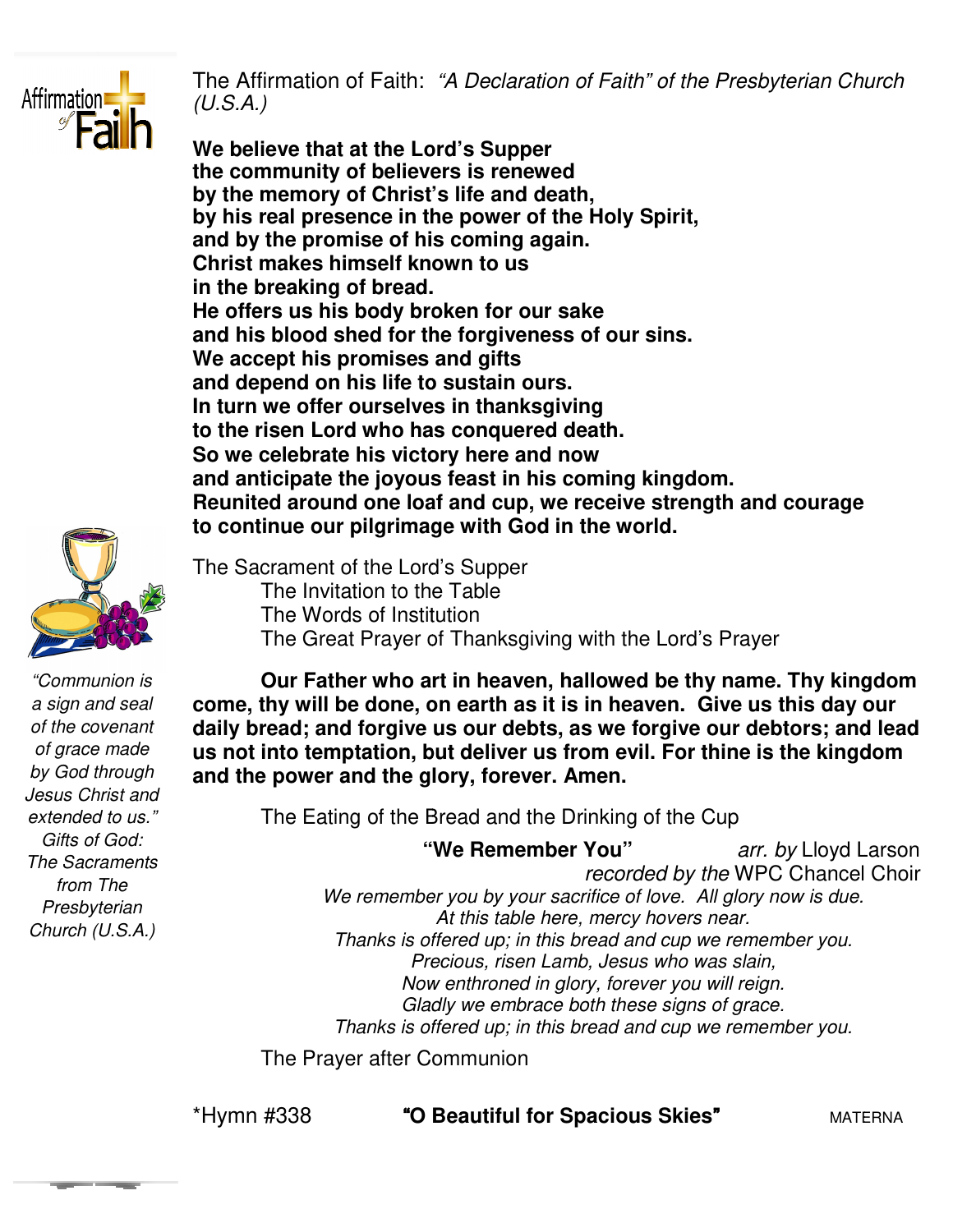

The Affirmation of Faith: *"A Declaration of Faith" of the Presbyterian Church (U.S.A.)* 

**We believe that at the Lord's Supper We believe that Supper the community of believers is renewed by the memory of Christ's life and death, by his real presence in the power of the Holy Spirit, and by the promise of his coming again. Christ makes himself known to us in the breaking of bread. He offers us his body broken for our sake and his blood shed for the forgiveness of our sins. We accept his promises and gifts and depend on his life to sustain ours. In turn we offer ourselves in thanksgiving to the risen Lord who has conquered death. So we celebrate his victory here and now and anticipate the joyous feast in his coming kingdom. Reunited around one loaf and cup, we receive strength and courage to continue our pilgrimage with God in the worl** by the memory of Christ's life and death,<br>by his real presence in the power of the Holy Spiri<br>and by the promise of his coming again.<br>Christ makes himself known to us<br>in the breaking of bread.<br>He offers us his body broken



*"Communion is a sign and seal of the covenant of grace made by God through Jesus Christ and extended to us." Gifts of God: The Sacraments from The Presbyterian Church (U.S.A.)* 

The Sacrament of the Lord's Supper<br>The Invitation to the Table<br>The Words of Institution<br>The Great Prayer of Thanksg The Invitation to the Table The Words of Institution The Great Prayer of Thanksgiving with the Lord's Prayer **Reunited around one loaf and cup, we receive strength are to continue our pilgrimage with God in the world.**<br>The Sacrament of the Lord's Supper<br>The Invitation to the Table<br>The Words of Institution<br>The Great Prayer of Than

**Our Father who art in heaven, hallowed be thy name. Thy kingdom**  Our Father who art in heaven, hallowed be thy name. Thy kingdo<br>come, thy will be done, on earth as it is in heaven. Give us this day our **daily bread; and forgive us our debts, as we forgive our debtors; and lead us not into temptation, but deliver us from evil. For thine is the kingdom**  daily bread; and forgive us our debts, as we<br>us not into temptation, but deliver us from e<br>and the power and the glory, forever. Amen.

The Eating of the Bread and the Drinking of the Cup

 **"We Remember You" "We**  *arr. by* Lloyd Larson We remember you by your sacrifice of love. All glory now is due. *Thanks is offered up; in this bread and cup we remember you. Precious, risen Lamb, Jesus who was slain, Now enthroned in glory, forever you will reign. Gladly we embrace both these signs of grace. Thanks is offered up; in this bread and cup we remember you.*<br> *Precious, risen Lamb, Jesus who was slain,*<br> *Now enthroned in glory, forever you will reign.*<br> *Gladly we embrace both these signs of grace.*<br> *Thanks is of recorded by the* WPC Chancel Choir *At this table here, mercy hovers near.* 

The Prayer after Communion The

\*Hymn #338 "**O Beautiful for Spacious Skies**

"MATERNA